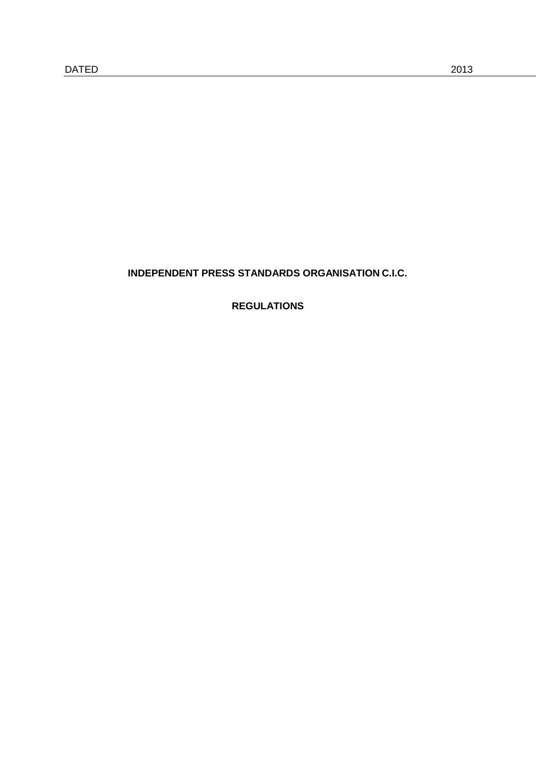# **INDEPENDENT PRESS STANDARDS ORGANISATION C.I.C.**

**REGULATIONS**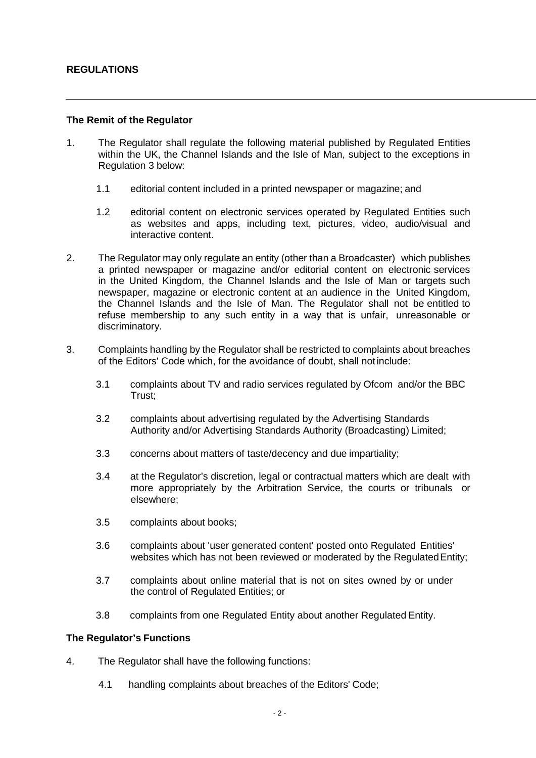### **The Remit of the Regulator**

- 1. The Regulator shall regulate the following material published by Regulated Entities within the UK, the Channel Islands and the Isle of Man, subject to the exceptions in Regulation 3 below:
	- 1.1 editorial content included in a printed newspaper or magazine; and
	- 1.2 editorial content on electronic services operated by Regulated Entities such as websites and apps, including text, pictures, video, audio/visual and interactive content.
- 2. The Regulator may only regulate an entity (other than a Broadcaster) which publishes a printed newspaper or magazine and/or editorial content on electronic services in the United Kingdom, the Channel Islands and the Isle of Man or targets such newspaper, magazine or electronic content at an audience in the United Kingdom, the Channel Islands and the Isle of Man. The Regulator shall not be entitled to refuse membership to any such entity in a way that is unfair, unreasonable or discriminatory.
- 3. Complaints handling by the Regulator shall be restricted to complaints about breaches of the Editors' Code which, for the avoidance of doubt, shall notinclude:
	- 3.1 complaints about TV and radio services regulated by Ofcom and/or the BBC Trust;
	- 3.2 complaints about advertising regulated by the Advertising Standards Authority and/or Advertising Standards Authority (Broadcasting) Limited;
	- 3.3 concerns about matters of taste/decency and due impartiality;
	- 3.4 at the Regulator's discretion, legal or contractual matters which are dealt with more appropriately by the Arbitration Service, the courts or tribunals or elsewhere;
	- 3.5 complaints about books;
	- 3.6 complaints about 'user generated content' posted onto Regulated Entities' websites which has not been reviewed or moderated by the Regulated Entity;
	- 3.7 complaints about online material that is not on sites owned by or under the control of Regulated Entities; or
	- 3.8 complaints from one Regulated Entity about another Regulated Entity.

### **The Regulator's Functions**

- 4. The Regulator shall have the following functions:
	- 4.1 handling complaints about breaches of the Editors' Code;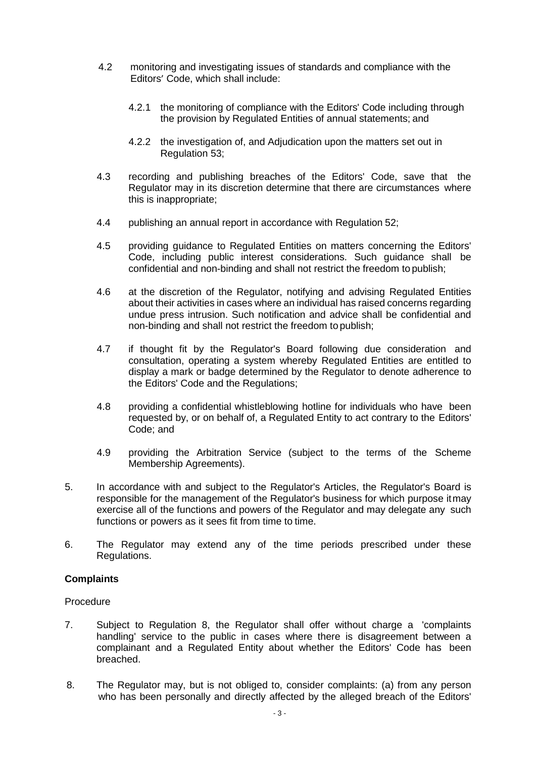- 4.2 monitoring and investigating issues of standards and compliance with the Editors' Code, which shall include:
	- 4.2.1 the monitoring of compliance with the Editors' Code including through the provision by Regulated Entities of annual statements; and
	- 4.2.2 the investigation of, and Adjudication upon the matters set out in Regulation 53;
- 4.3 recording and publishing breaches of the Editors' Code, save that the Regulator may in its discretion determine that there are circumstances where this is inappropriate;
- 4.4 publishing an annual report in accordance with Regulation 52;
- 4.5 providing guidance to Regulated Entities on matters concerning the Editors' Code, including public interest considerations. Such guidance shall be confidential and non-binding and shall not restrict the freedom to publish;
- 4.6 at the discretion of the Regulator, notifying and advising Regulated Entities about their activities in cases where an individual has raised concerns regarding undue press intrusion. Such notification and advice shall be confidential and non-binding and shall not restrict the freedom to publish;
- 4.7 if thought fit by the Regulator's Board following due consideration and consultation, operating a system whereby Regulated Entities are entitled to display a mark or badge determined by the Regulator to denote adherence to the Editors' Code and the Regulations;
- 4.8 providing a confidential whistleblowing hotline for individuals who have been requested by, or on behalf of, a Regulated Entity to act contrary to the Editors' Code; and
- 4.9 providing the Arbitration Service (subject to the terms of the Scheme Membership Agreements).
- 5. In accordance with and subject to the Regulator's Articles, the Regulator's Board is responsible for the management of the Regulator's business for which purpose itmay exercise all of the functions and powers of the Regulator and may delegate any such functions or powers as it sees fit from time to time.
- 6. The Regulator may extend any of the time periods prescribed under these Regulations.

### **Complaints**

### Procedure

- 7. Subject to Regulation 8, the Regulator shall offer without charge a 'complaints handling' service to the public in cases where there is disagreement between a complainant and a Regulated Entity about whether the Editors' Code has been breached.
- 8. The Regulator may, but is not obliged to, consider complaints: (a) from any person who has been personally and directly affected by the alleged breach of the Editors'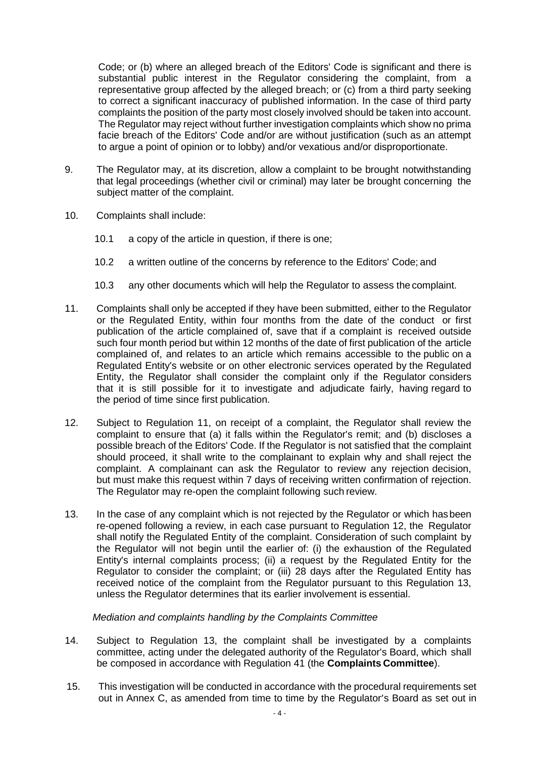Code; or (b) where an alleged breach of the Editors' Code is significant and there is substantial public interest in the Regulator considering the complaint, from a representative group affected by the alleged breach; or (c) from a third party seeking to correct a significant inaccuracy of published information. In the case of third party complaints the position of the party most closely involved should be taken into account. The Regulator may reject without further investigation complaints which show no prima facie breach of the Editors' Code and/or are without justification (such as an attempt to argue a point of opinion or to lobby) and/or vexatious and/or disproportionate.

- 9. The Regulator may, at its discretion, allow a complaint to be brought notwithstanding that legal proceedings (whether civil or criminal) may later be brought concerning the subject matter of the complaint.
- 10. Complaints shall include:
	- 10.1 a copy of the article in question, if there is one;
	- 10.2 a written outline of the concerns by reference to the Editors' Code; and
	- 10.3 any other documents which will help the Regulator to assess the complaint.
- 11. Complaints shall only be accepted if they have been submitted, either to the Regulator or the Regulated Entity, within four months from the date of the conduct or first publication of the article complained of, save that if a complaint is received outside such four month period but within 12 months of the date of first publication of the article complained of, and relates to an article which remains accessible to the public on a Regulated Entity's website or on other electronic services operated by the Regulated Entity, the Regulator shall consider the complaint only if the Regulator considers that it is still possible for it to investigate and adjudicate fairly, having regard to the period of time since first publication.
- 12. Subject to Regulation 11, on receipt of a complaint, the Regulator shall review the complaint to ensure that (a) it falls within the Regulator's remit; and (b) discloses a possible breach of the Editors' Code. If the Regulator is not satisfied that the complaint should proceed, it shall write to the complainant to explain why and shall reject the complaint. A complainant can ask the Regulator to review any rejection decision, but must make this request within 7 days of receiving written confirmation of rejection. The Regulator may re-open the complaint following such review.
- 13. In the case of any complaint which is not rejected by the Regulator or which hasbeen re-opened following a review, in each case pursuant to Regulation 12, the Regulator shall notify the Regulated Entity of the complaint. Consideration of such complaint by the Regulator will not begin until the earlier of: (i) the exhaustion of the Regulated Entity's internal complaints process; (ii) a request by the Regulated Entity for the Regulator to consider the complaint; or (iii) 28 days after the Regulated Entity has received notice of the complaint from the Regulator pursuant to this Regulation 13, unless the Regulator determines that its earlier involvement is essential.

### *Mediation and complaints handling by the Complaints Committee*

- 14. Subject to Regulation 13, the complaint shall be investigated by a complaints committee, acting under the delegated authority of the Regulator's Board, which shall be composed in accordance with Regulation 41 (the **Complaints Committee**).
- 15. This investigation will be conducted in accordance with the procedural requirements set out in Annex C, as amended from time to time by the Regulator's Board as set out in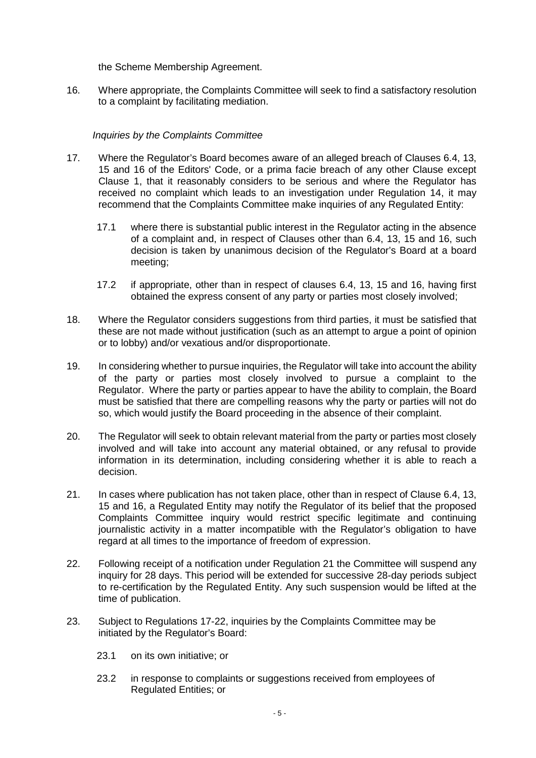the Scheme Membership Agreement.

16. Where appropriate, the Complaints Committee will seek to find a satisfactory resolution to a complaint by facilitating mediation.

### *Inquiries by the Complaints Committee*

- 17. Where the Regulator's Board becomes aware of an alleged breach of Clauses 6.4, 13, 15 and 16 of the Editors' Code, or a prima facie breach of any other Clause except Clause 1, that it reasonably considers to be serious and where the Regulator has received no complaint which leads to an investigation under Regulation 14, it may recommend that the Complaints Committee make inquiries of any Regulated Entity:
	- 17.1 where there is substantial public interest in the Regulator acting in the absence of a complaint and, in respect of Clauses other than 6.4, 13, 15 and 16, such decision is taken by unanimous decision of the Regulator's Board at a board meeting;
	- 17.2 if appropriate, other than in respect of clauses 6.4, 13, 15 and 16, having first obtained the express consent of any party or parties most closely involved;
- 18. Where the Regulator considers suggestions from third parties, it must be satisfied that these are not made without justification (such as an attempt to argue a point of opinion or to lobby) and/or vexatious and/or disproportionate.
- 19. In considering whether to pursue inquiries, the Regulator will take into account the ability of the party or parties most closely involved to pursue a complaint to the Regulator. Where the party or parties appear to have the ability to complain, the Board must be satisfied that there are compelling reasons why the party or parties will not do so, which would justify the Board proceeding in the absence of their complaint.
- 20. The Regulator will seek to obtain relevant material from the party or parties most closely involved and will take into account any material obtained, or any refusal to provide information in its determination, including considering whether it is able to reach a decision.
- 21. In cases where publication has not taken place, other than in respect of Clause 6.4, 13, 15 and 16, a Regulated Entity may notify the Regulator of its belief that the proposed Complaints Committee inquiry would restrict specific legitimate and continuing journalistic activity in a matter incompatible with the Regulator's obligation to have regard at all times to the importance of freedom of expression.
- 22. Following receipt of a notification under Regulation 21 the Committee will suspend any inquiry for 28 days. This period will be extended for successive 28-day periods subject to re-certification by the Regulated Entity. Any such suspension would be lifted at the time of publication.
- 23. Subject to Regulations 17-22, inquiries by the Complaints Committee may be initiated by the Regulator's Board:
	- 23.1 on its own initiative; or
	- 23.2 in response to complaints or suggestions received from employees of Regulated Entities; or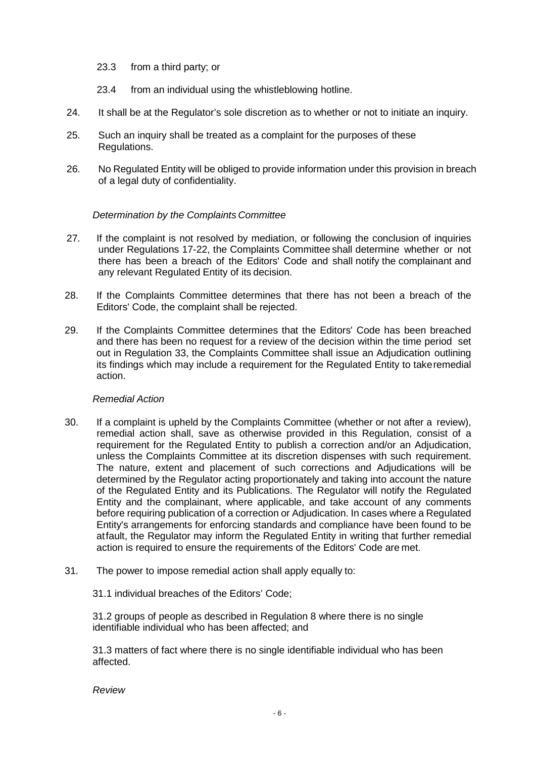- 23.3 from a third party; or
- 23.4 from an individual using the whistleblowing hotline.
- 24. It shall be at the Regulator's sole discretion as to whether or not to initiate an inquiry.
- 25. Such an inquiry shall be treated as a complaint for the purposes of these Regulations.
- 26. No Regulated Entity will be obliged to provide information under this provision in breach of a legal duty of confidentiality.

### *Determination by the Complaints Committee*

- 27. If the complaint is not resolved by mediation, or following the conclusion of inquiries under Regulations 17-22, the Complaints Committee shall determine whether or not there has been a breach of the Editors' Code and shall notify the complainant and any relevant Regulated Entity of its decision.
- 28. If the Complaints Committee determines that there has not been a breach of the Editors' Code, the complaint shall be rejected.
- 29. If the Complaints Committee determines that the Editors' Code has been breached and there has been no request for a review of the decision within the time period set out in Regulation 33, the Complaints Committee shall issue an Adjudication outlining its findings which may include a requirement for the Regulated Entity to takeremedial action.

### *Remedial Action*

- 30. If a complaint is upheld by the Complaints Committee (whether or not after a review), remedial action shall, save as otherwise provided in this Regulation, consist of a requirement for the Regulated Entity to publish a correction and/or an Adjudication, unless the Complaints Committee at its discretion dispenses with such requirement. The nature, extent and placement of such corrections and Adjudications will be determined by the Regulator acting proportionately and taking into account the nature of the Regulated Entity and its Publications. The Regulator will notify the Regulated Entity and the complainant, where applicable, and take account of any comments before requiring publication of a correction or Adjudication. In cases where a Regulated Entity's arrangements for enforcing standards and compliance have been found to be atfault, the Regulator may inform the Regulated Entity in writing that further remedial action is required to ensure the requirements of the Editors' Code are met.
- 31. The power to impose remedial action shall apply equally to:

31.1 individual breaches of the Editors' Code;

31.2 groups of people as described in Regulation 8 where there is no single identifiable individual who has been affected; and

31.3 matters of fact where there is no single identifiable individual who has been affected.

*Review*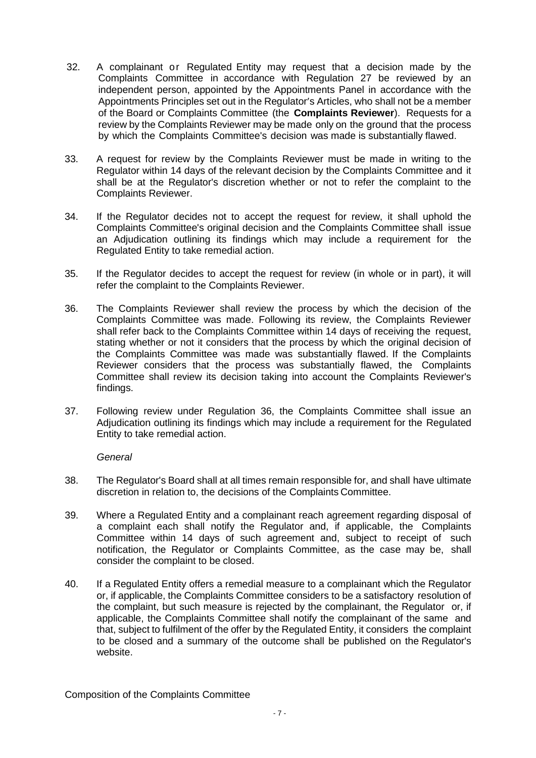- 32. A complainant or Regulated Entity may request that a decision made by the Complaints Committee in accordance with Regulation 27 be reviewed by an independent person, appointed by the Appointments Panel in accordance with the Appointments Principles set out in the Regulator's Articles, who shall not be a member of the Board or Complaints Committee (the **Complaints Reviewer**). Requests for a review by the Complaints Reviewer may be made only on the ground that the process by which the Complaints Committee's decision was made is substantially flawed.
- 33. A request for review by the Complaints Reviewer must be made in writing to the Regulator within 14 days of the relevant decision by the Complaints Committee and it shall be at the Regulator's discretion whether or not to refer the complaint to the Complaints Reviewer.
- 34. If the Regulator decides not to accept the request for review, it shall uphold the Complaints Committee's original decision and the Complaints Committee shall issue an Adjudication outlining its findings which may include a requirement for the Regulated Entity to take remedial action.
- 35. If the Regulator decides to accept the request for review (in whole or in part), it will refer the complaint to the Complaints Reviewer.
- 36. The Complaints Reviewer shall review the process by which the decision of the Complaints Committee was made. Following its review, the Complaints Reviewer shall refer back to the Complaints Committee within 14 days of receiving the request, stating whether or not it considers that the process by which the original decision of the Complaints Committee was made was substantially flawed. If the Complaints Reviewer considers that the process was substantially flawed, the Complaints Committee shall review its decision taking into account the Complaints Reviewer's findings.
- 37. Following review under Regulation 36, the Complaints Committee shall issue an Adjudication outlining its findings which may include a requirement for the Regulated Entity to take remedial action.

*General*

- 38. The Regulator's Board shall at all times remain responsible for, and shall have ultimate discretion in relation to, the decisions of the Complaints Committee.
- 39. Where a Regulated Entity and a complainant reach agreement regarding disposal of a complaint each shall notify the Regulator and, if applicable, the Complaints Committee within 14 days of such agreement and, subject to receipt of such notification, the Regulator or Complaints Committee, as the case may be, shall consider the complaint to be closed.
- 40. If a Regulated Entity offers a remedial measure to a complainant which the Regulator or, if applicable, the Complaints Committee considers to be a satisfactory resolution of the complaint, but such measure is rejected by the complainant, the Regulator or, if applicable, the Complaints Committee shall notify the complainant of the same and that, subject to fulfilment of the offer by the Regulated Entity, it considers the complaint to be closed and a summary of the outcome shall be published on the Regulator's website.

Composition of the Complaints Committee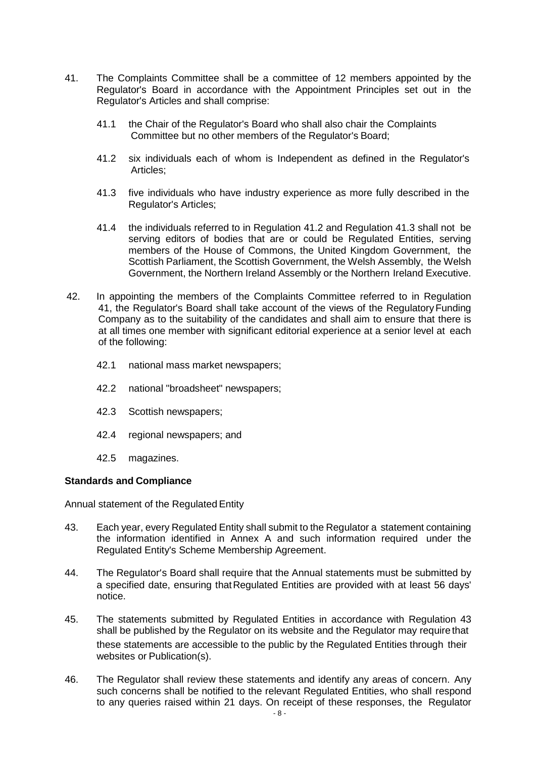- 41. The Complaints Committee shall be a committee of 12 members appointed by the Regulator's Board in accordance with the Appointment Principles set out in the Regulator's Articles and shall comprise:
	- 41.1 the Chair of the Regulator's Board who shall also chair the Complaints Committee but no other members of the Regulator's Board;
	- 41.2 six individuals each of whom is Independent as defined in the Regulator's Articles;
	- 41.3 five individuals who have industry experience as more fully described in the Regulator's Articles;
	- 41.4 the individuals referred to in Regulation 41.2 and Regulation 41.3 shall not be serving editors of bodies that are or could be Regulated Entities, serving members of the House of Commons, the United Kingdom Government, the Scottish Parliament, the Scottish Government, the Welsh Assembly, the Welsh Government, the Northern Ireland Assembly or the Northern Ireland Executive.
- 42. In appointing the members of the Complaints Committee referred to in Regulation 41, the Regulator's Board shall take account of the views of the Regulatory Funding Company as to the suitability of the candidates and shall aim to ensure that there is at all times one member with significant editorial experience at a senior level at each of the following:
	- 42.1 national mass market newspapers;
	- 42.2 national "broadsheet" newspapers;
	- 42.3 Scottish newspapers;
	- 42.4 regional newspapers; and
	- 42.5 magazines.

#### **Standards and Compliance**

Annual statement of the Regulated Entity

- 43. Each year, every Regulated Entity shall submit to the Regulator a statement containing the information identified in Annex A and such information required under the Regulated Entity's Scheme Membership Agreement.
- 44. The Regulator's Board shall require that the Annual statements must be submitted by a specified date, ensuring thatRegulated Entities are provided with at least 56 days' notice.
- 45. The statements submitted by Regulated Entities in accordance with Regulation 43 shall be published by the Regulator on its website and the Regulator may require that these statements are accessible to the public by the Regulated Entities through their websites or Publication(s).
- 46. The Regulator shall review these statements and identify any areas of concern. Any such concerns shall be notified to the relevant Regulated Entities, who shall respond to any queries raised within 21 days. On receipt of these responses, the Regulator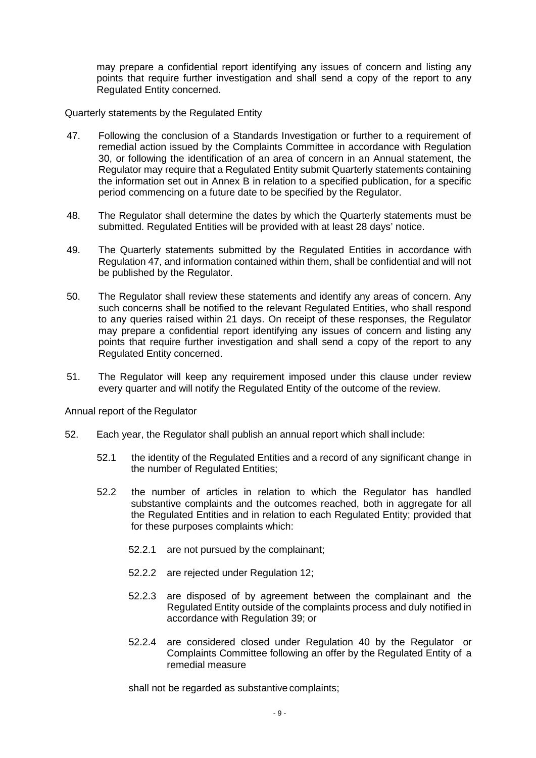may prepare a confidential report identifying any issues of concern and listing any points that require further investigation and shall send a copy of the report to any Regulated Entity concerned.

Quarterly statements by the Regulated Entity

- 47. Following the conclusion of a Standards Investigation or further to a requirement of remedial action issued by the Complaints Committee in accordance with Regulation 30, or following the identification of an area of concern in an Annual statement, the Regulator may require that a Regulated Entity submit Quarterly statements containing the information set out in Annex B in relation to a specified publication, for a specific period commencing on a future date to be specified by the Regulator.
- 48. The Regulator shall determine the dates by which the Quarterly statements must be submitted. Regulated Entities will be provided with at least 28 days' notice.
- 49. The Quarterly statements submitted by the Regulated Entities in accordance with Regulation 47, and information contained within them, shall be confidential and will not be published by the Regulator.
- 50. The Regulator shall review these statements and identify any areas of concern. Any such concerns shall be notified to the relevant Regulated Entities, who shall respond to any queries raised within 21 days. On receipt of these responses, the Regulator may prepare a confidential report identifying any issues of concern and listing any points that require further investigation and shall send a copy of the report to any Regulated Entity concerned.
- 51. The Regulator will keep any requirement imposed under this clause under review every quarter and will notify the Regulated Entity of the outcome of the review.

Annual report of the Regulator

- 52. Each year, the Regulator shall publish an annual report which shall include:
	- 52.1 the identity of the Regulated Entities and a record of any significant change in the number of Regulated Entities;
	- 52.2 the number of articles in relation to which the Regulator has handled substantive complaints and the outcomes reached, both in aggregate for all the Regulated Entities and in relation to each Regulated Entity; provided that for these purposes complaints which:
		- 52.2.1 are not pursued by the complainant;
		- 52.2.2 are rejected under Regulation 12;
		- 52.2.3 are disposed of by agreement between the complainant and the Regulated Entity outside of the complaints process and duly notified in accordance with Regulation 39; or
		- 52.2.4 are considered closed under Regulation 40 by the Regulator or Complaints Committee following an offer by the Regulated Entity of a remedial measure

shall not be regarded as substantive complaints;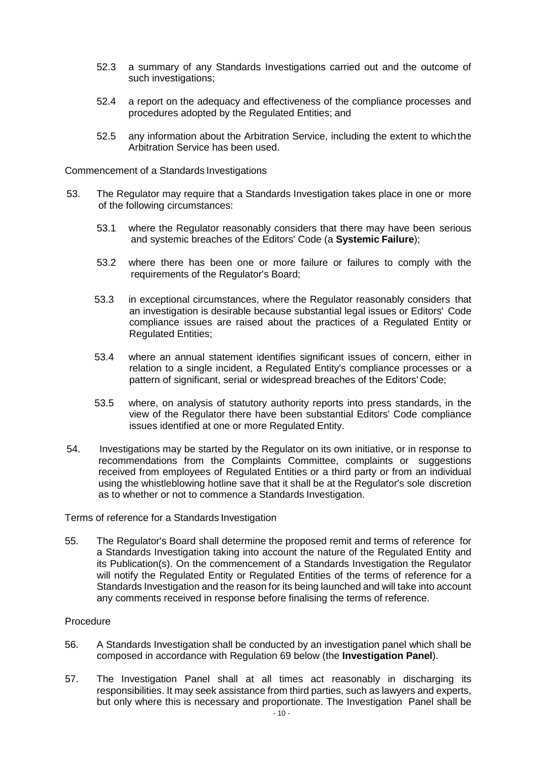- 52.3 a summary of any Standards Investigations carried out and the outcome of such investigations;
- 52.4 a report on the adequacy and effectiveness of the compliance processes and procedures adopted by the Regulated Entities; and
- 52.5 any information about the Arbitration Service, including the extent to whichthe Arbitration Service has been used.

Commencement of a Standards Investigations

- 53. The Regulator may require that a Standards Investigation takes place in one or more of the following circumstances:
	- 53.1 where the Regulator reasonably considers that there may have been serious and systemic breaches of the Editors' Code (a **Systemic Failure**);
	- 53.2 where there has been one or more failure or failures to comply with the requirements of the Regulator's Board;
	- 53.3 in exceptional circumstances, where the Regulator reasonably considers that an investigation is desirable because substantial legal issues or Editors' Code compliance issues are raised about the practices of a Regulated Entity or Regulated Entities;
	- 53.4 where an annual statement identifies significant issues of concern, either in relation to a single incident, a Regulated Entity's compliance processes or a pattern of significant, serial or widespread breaches of the Editors' Code;
	- 53.5 where, on analysis of statutory authority reports into press standards, in the view of the Regulator there have been substantial Editors' Code compliance issues identified at one or more Regulated Entity.
- 54. Investigations may be started by the Regulator on its own initiative, or in response to recommendations from the Complaints Committee, complaints or suggestions received from employees of Regulated Entities or a third party or from an individual using the whistleblowing hotline save that it shall be at the Regulator's sole discretion as to whether or not to commence a Standards Investigation.

Terms of reference for a Standards Investigation

55. The Regulator's Board shall determine the proposed remit and terms of reference for a Standards Investigation taking into account the nature of the Regulated Entity and its Publication(s). On the commencement of a Standards Investigation the Regulator will notify the Regulated Entity or Regulated Entities of the terms of reference for a Standards Investigation and the reason for its being launched and will take into account any comments received in response before finalising the terms of reference.

#### Procedure

- 56. A Standards Investigation shall be conducted by an investigation panel which shall be composed in accordance with Regulation 69 below (the **Investigation Panel**).
- 57. The Investigation Panel shall at all times act reasonably in discharging its responsibilities. It may seek assistance from third parties, such as lawyers and experts, but only where this is necessary and proportionate. The Investigation Panel shall be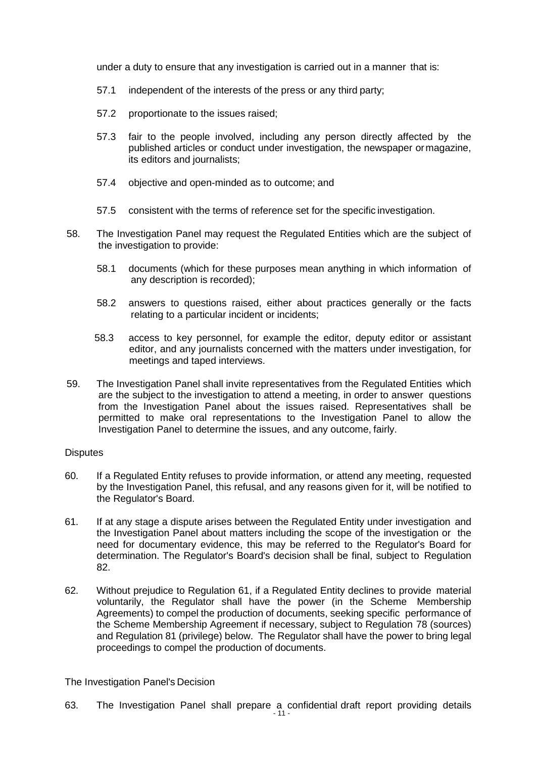under a duty to ensure that any investigation is carried out in a manner that is:

- 57.1 independent of the interests of the press or any third party;
- 57.2 proportionate to the issues raised;
- 57.3 fair to the people involved, including any person directly affected by the published articles or conduct under investigation, the newspaper ormagazine, its editors and journalists;
- 57.4 objective and open-minded as to outcome; and
- 57.5 consistent with the terms of reference set for the specific investigation.
- 58. The Investigation Panel may request the Regulated Entities which are the subject of the investigation to provide:
	- 58.1 documents (which for these purposes mean anything in which information of any description is recorded);
	- 58.2 answers to questions raised, either about practices generally or the facts relating to a particular incident or incidents;
	- 58.3 access to key personnel, for example the editor, deputy editor or assistant editor, and any journalists concerned with the matters under investigation, for meetings and taped interviews.
- 59. The Investigation Panel shall invite representatives from the Regulated Entities which are the subject to the investigation to attend a meeting, in order to answer questions from the Investigation Panel about the issues raised. Representatives shall be permitted to make oral representations to the Investigation Panel to allow the Investigation Panel to determine the issues, and any outcome, fairly.

### **Disputes**

- 60. If a Regulated Entity refuses to provide information, or attend any meeting, requested by the Investigation Panel, this refusal, and any reasons given for it, will be notified to the Regulator's Board.
- 61. If at any stage a dispute arises between the Regulated Entity under investigation and the Investigation Panel about matters including the scope of the investigation or the need for documentary evidence, this may be referred to the Regulator's Board for determination. The Regulator's Board's decision shall be final, subject to Regulation 82.
- 62. Without prejudice to Regulation 61, if a Regulated Entity declines to provide material voluntarily, the Regulator shall have the power (in the Scheme Membership Agreements) to compel the production of documents, seeking specific performance of the Scheme Membership Agreement if necessary, subject to Regulation 78 (sources) and Regulation 81 (privilege) below. The Regulator shall have the power to bring legal proceedings to compel the production of documents.

### The Investigation Panel's Decision

63. The Investigation Panel shall prepare a confidential draft report providing details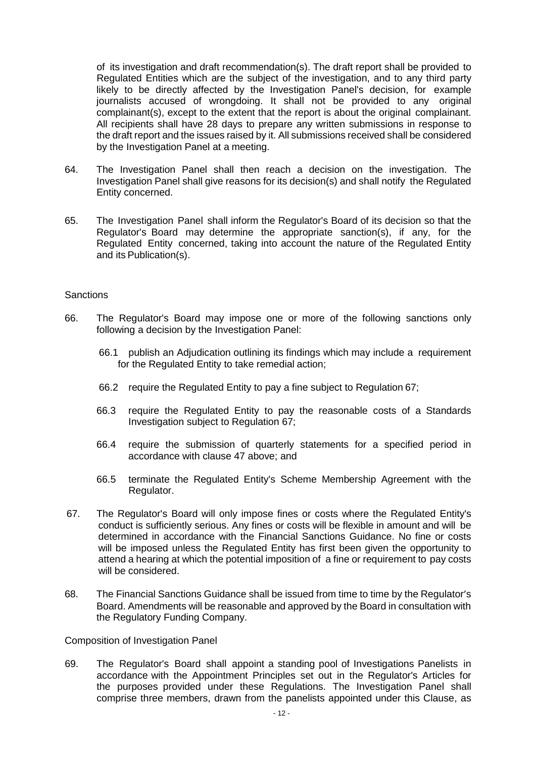of its investigation and draft recommendation(s). The draft report shall be provided to Regulated Entities which are the subject of the investigation, and to any third party likely to be directly affected by the Investigation Panel's decision, for example journalists accused of wrongdoing. It shall not be provided to any original complainant(s), except to the extent that the report is about the original complainant. All recipients shall have 28 days to prepare any written submissions in response to the draft report and the issues raised by it. All submissions received shall be considered by the Investigation Panel at a meeting.

- 64. The Investigation Panel shall then reach a decision on the investigation. The Investigation Panel shall give reasons for its decision(s) and shall notify the Regulated Entity concerned.
- 65. The Investigation Panel shall inform the Regulator's Board of its decision so that the Regulator's Board may determine the appropriate sanction(s), if any, for the Regulated Entity concerned, taking into account the nature of the Regulated Entity and its Publication(s).

#### **Sanctions**

- 66. The Regulator's Board may impose one or more of the following sanctions only following a decision by the Investigation Panel:
	- 66.1 publish an Adjudication outlining its findings which may include a requirement for the Regulated Entity to take remedial action;
	- 66.2 require the Regulated Entity to pay a fine subject to Regulation 67;
	- 66.3 require the Regulated Entity to pay the reasonable costs of a Standards Investigation subject to Regulation 67;
	- 66.4 require the submission of quarterly statements for a specified period in accordance with clause 47 above; and
	- 66.5 terminate the Regulated Entity's Scheme Membership Agreement with the Regulator.
- 67. The Regulator's Board will only impose fines or costs where the Regulated Entity's conduct is sufficiently serious. Any fines or costs will be flexible in amount and will be determined in accordance with the Financial Sanctions Guidance. No fine or costs will be imposed unless the Regulated Entity has first been given the opportunity to attend a hearing at which the potential imposition of a fine or requirement to pay costs will be considered.
- 68. The Financial Sanctions Guidance shall be issued from time to time by the Regulator's Board. Amendments will be reasonable and approved by the Board in consultation with the Regulatory Funding Company.

Composition of Investigation Panel

69. The Regulator's Board shall appoint a standing pool of Investigations Panelists in accordance with the Appointment Principles set out in the Regulator's Articles for the purposes provided under these Regulations. The Investigation Panel shall comprise three members, drawn from the panelists appointed under this Clause, as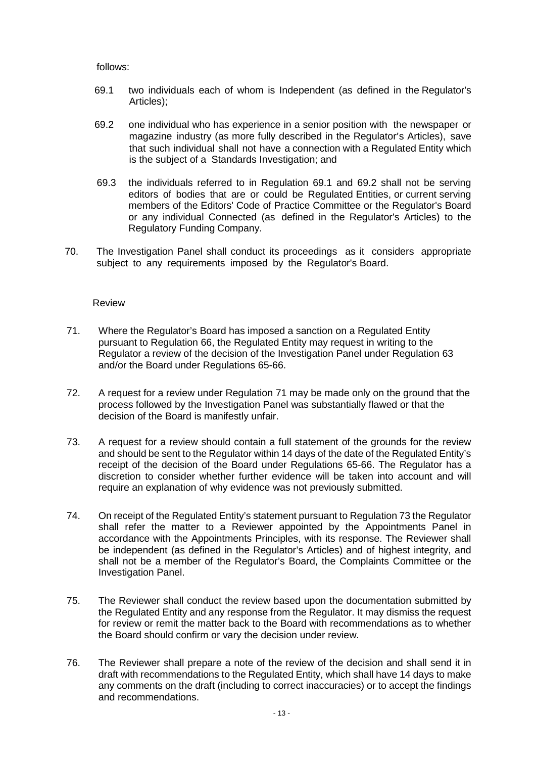follows:

- 69.1 two individuals each of whom is Independent (as defined in the Regulator's Articles);
- 69.2 one individual who has experience in a senior position with the newspaper or magazine industry (as more fully described in the Regulator's Articles), save that such individual shall not have a connection with a Regulated Entity which is the subject of a Standards Investigation; and
- 69.3 the individuals referred to in Regulation 69.1 and 69.2 shall not be serving editors of bodies that are or could be Regulated Entities, or current serving members of the Editors' Code of Practice Committee or the Regulator's Board or any individual Connected (as defined in the Regulator's Articles) to the Regulatory Funding Company.
- 70. The Investigation Panel shall conduct its proceedings as it considers appropriate subject to any requirements imposed by the Regulator's Board.

#### Review

- 71. Where the Regulator's Board has imposed a sanction on a Regulated Entity pursuant to Regulation 66, the Regulated Entity may request in writing to the Regulator a review of the decision of the Investigation Panel under Regulation 63 and/or the Board under Regulations 65-66.
- 72. A request for a review under Regulation 71 may be made only on the ground that the process followed by the Investigation Panel was substantially flawed or that the decision of the Board is manifestly unfair.
- 73. A request for a review should contain a full statement of the grounds for the review and should be sent to the Regulator within 14 days of the date of the Regulated Entity's receipt of the decision of the Board under Regulations 65-66. The Regulator has a discretion to consider whether further evidence will be taken into account and will require an explanation of why evidence was not previously submitted.
- 74. On receipt of the Regulated Entity's statement pursuant to Regulation 73 the Regulator shall refer the matter to a Reviewer appointed by the Appointments Panel in accordance with the Appointments Principles, with its response. The Reviewer shall be independent (as defined in the Regulator's Articles) and of highest integrity, and shall not be a member of the Regulator's Board, the Complaints Committee or the Investigation Panel.
- 75. The Reviewer shall conduct the review based upon the documentation submitted by the Regulated Entity and any response from the Regulator. It may dismiss the request for review or remit the matter back to the Board with recommendations as to whether the Board should confirm or vary the decision under review.
- 76. The Reviewer shall prepare a note of the review of the decision and shall send it in draft with recommendations to the Regulated Entity, which shall have 14 days to make any comments on the draft (including to correct inaccuracies) or to accept the findings and recommendations.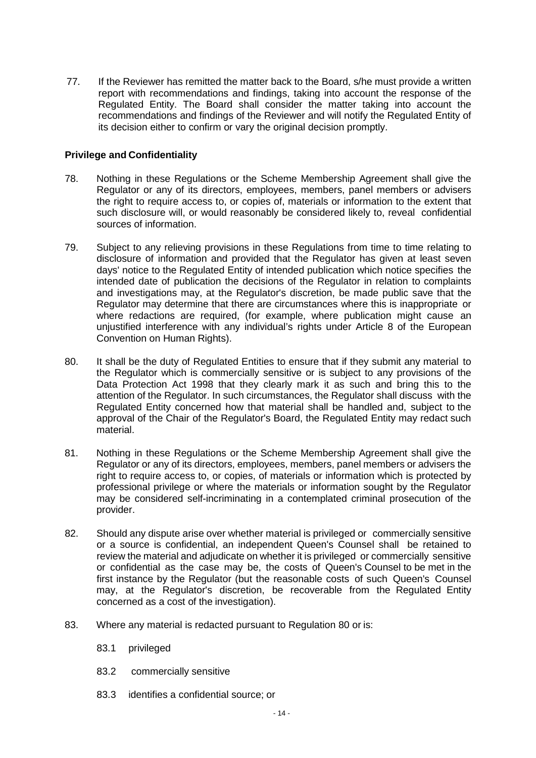77. If the Reviewer has remitted the matter back to the Board, s/he must provide a written report with recommendations and findings, taking into account the response of the Regulated Entity. The Board shall consider the matter taking into account the recommendations and findings of the Reviewer and will notify the Regulated Entity of its decision either to confirm or vary the original decision promptly.

### **Privilege and Confidentiality**

- 78. Nothing in these Regulations or the Scheme Membership Agreement shall give the Regulator or any of its directors, employees, members, panel members or advisers the right to require access to, or copies of, materials or information to the extent that such disclosure will, or would reasonably be considered likely to, reveal confidential sources of information.
- 79. Subject to any relieving provisions in these Regulations from time to time relating to disclosure of information and provided that the Regulator has given at least seven days' notice to the Regulated Entity of intended publication which notice specifies the intended date of publication the decisions of the Regulator in relation to complaints and investigations may, at the Regulator's discretion, be made public save that the Regulator may determine that there are circumstances where this is inappropriate or where redactions are required, (for example, where publication might cause an unjustified interference with any individual's rights under Article 8 of the European Convention on Human Rights).
- 80. It shall be the duty of Regulated Entities to ensure that if they submit any material to the Regulator which is commercially sensitive or is subject to any provisions of the Data Protection Act 1998 that they clearly mark it as such and bring this to the attention of the Regulator. In such circumstances, the Regulator shall discuss with the Regulated Entity concerned how that material shall be handled and, subject to the approval of the Chair of the Regulator's Board, the Regulated Entity may redact such material.
- 81. Nothing in these Regulations or the Scheme Membership Agreement shall give the Regulator or any of its directors, employees, members, panel members or advisers the right to require access to, or copies, of materials or information which is protected by professional privilege or where the materials or information sought by the Regulator may be considered self-incriminating in a contemplated criminal prosecution of the provider.
- 82. Should any dispute arise over whether material is privileged or commercially sensitive or a source is confidential, an independent Queen's Counsel shall be retained to review the material and adjudicate on whether it is privileged or commercially sensitive or confidential as the case may be, the costs of Queen's Counsel to be met in the first instance by the Regulator (but the reasonable costs of such Queen's Counsel may, at the Regulator's discretion, be recoverable from the Regulated Entity concerned as a cost of the investigation).
- 83. Where any material is redacted pursuant to Regulation 80 or is:
	- 83.1 privileged
	- 83.2 commercially sensitive
	- 83.3 identifies a confidential source; or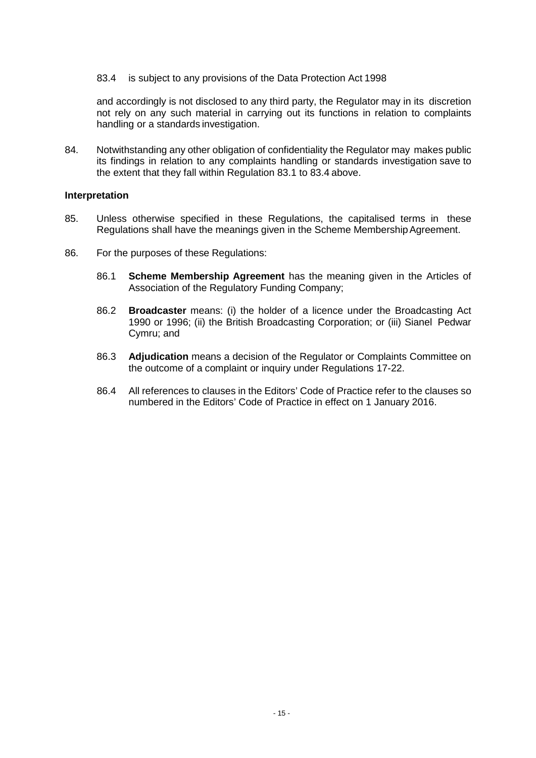83.4 is subject to any provisions of the Data Protection Act 1998

and accordingly is not disclosed to any third party, the Regulator may in its discretion not rely on any such material in carrying out its functions in relation to complaints handling or a standards investigation.

84. Notwithstanding any other obligation of confidentiality the Regulator may makes public its findings in relation to any complaints handling or standards investigation save to the extent that they fall within Regulation 83.1 to 83.4 above.

#### **Interpretation**

- 85. Unless otherwise specified in these Regulations, the capitalised terms in these Regulations shall have the meanings given in the Scheme Membership Agreement.
- 86. For the purposes of these Regulations:
	- 86.1 **Scheme Membership Agreement** has the meaning given in the Articles of Association of the Regulatory Funding Company;
	- 86.2 **Broadcaster** means: (i) the holder of a licence under the Broadcasting Act 1990 or 1996; (ii) the British Broadcasting Corporation; or (iii) Sianel Pedwar Cymru; and
	- 86.3 **Adjudication** means a decision of the Regulator or Complaints Committee on the outcome of a complaint or inquiry under Regulations 17-22.
	- 86.4 All references to clauses in the Editors' Code of Practice refer to the clauses so numbered in the Editors' Code of Practice in effect on 1 January 2016.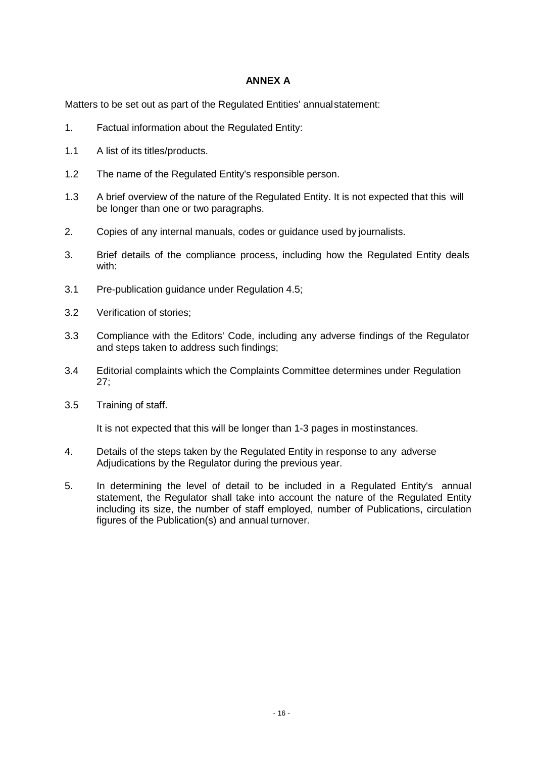### **ANNEX A**

Matters to be set out as part of the Regulated Entities' annualstatement:

- 1. Factual information about the Regulated Entity:
- 1.1 A list of its titles/products.
- 1.2 The name of the Regulated Entity's responsible person.
- 1.3 A brief overview of the nature of the Regulated Entity. It is not expected that this will be longer than one or two paragraphs.
- 2. Copies of any internal manuals, codes or guidance used by journalists.
- 3. Brief details of the compliance process, including how the Regulated Entity deals with:
- 3.1 Pre-publication guidance under Regulation 4.5;
- 3.2 Verification of stories;
- 3.3 Compliance with the Editors' Code, including any adverse findings of the Regulator and steps taken to address such findings;
- 3.4 Editorial complaints which the Complaints Committee determines under Regulation 27;
- 3.5 Training of staff.

It is not expected that this will be longer than 1-3 pages in mostinstances.

- 4. Details of the steps taken by the Regulated Entity in response to any adverse Adjudications by the Regulator during the previous year.
- 5. In determining the level of detail to be included in a Regulated Entity's annual statement, the Regulator shall take into account the nature of the Regulated Entity including its size, the number of staff employed, number of Publications, circulation figures of the Publication(s) and annual turnover.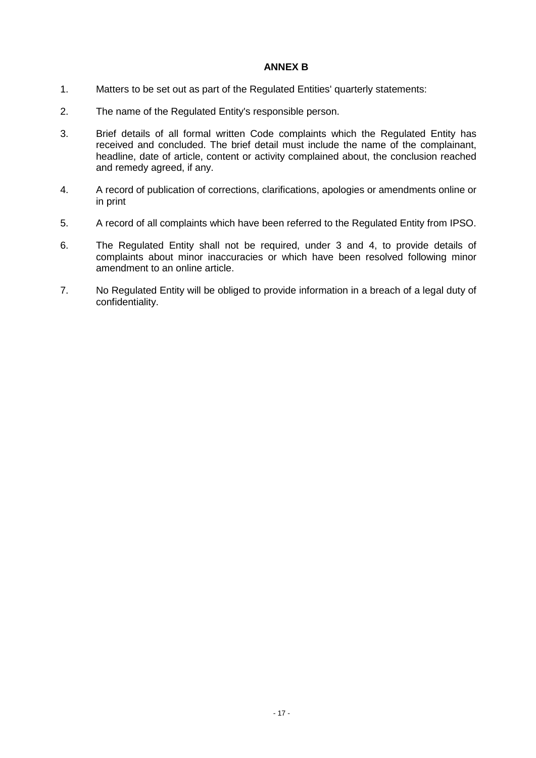### **ANNEX B**

- 1. Matters to be set out as part of the Regulated Entities' quarterly statements:
- 2. The name of the Regulated Entity's responsible person.
- 3. Brief details of all formal written Code complaints which the Regulated Entity has received and concluded. The brief detail must include the name of the complainant, headline, date of article, content or activity complained about, the conclusion reached and remedy agreed, if any.
- 4. A record of publication of corrections, clarifications, apologies or amendments online or in print
- 5. A record of all complaints which have been referred to the Regulated Entity from IPSO.
- 6. The Regulated Entity shall not be required, under 3 and 4, to provide details of complaints about minor inaccuracies or which have been resolved following minor amendment to an online article.
- 7. No Regulated Entity will be obliged to provide information in a breach of a legal duty of confidentiality.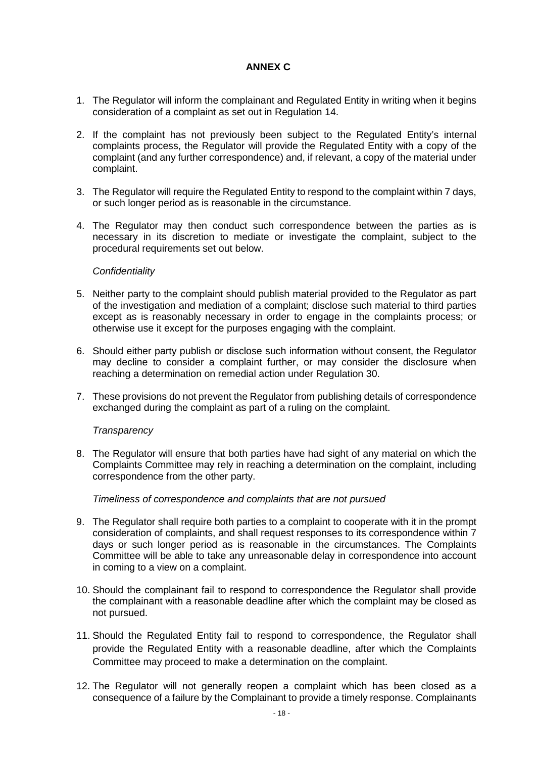### **ANNEX C**

- 1. The Regulator will inform the complainant and Regulated Entity in writing when it begins consideration of a complaint as set out in Regulation 14.
- 2. If the complaint has not previously been subject to the Regulated Entity's internal complaints process, the Regulator will provide the Regulated Entity with a copy of the complaint (and any further correspondence) and, if relevant, a copy of the material under complaint.
- 3. The Regulator will require the Regulated Entity to respond to the complaint within 7 days, or such longer period as is reasonable in the circumstance.
- 4. The Regulator may then conduct such correspondence between the parties as is necessary in its discretion to mediate or investigate the complaint, subject to the procedural requirements set out below.

### *Confidentiality*

- 5. Neither party to the complaint should publish material provided to the Regulator as part of the investigation and mediation of a complaint; disclose such material to third parties except as is reasonably necessary in order to engage in the complaints process; or otherwise use it except for the purposes engaging with the complaint.
- 6. Should either party publish or disclose such information without consent, the Regulator may decline to consider a complaint further, or may consider the disclosure when reaching a determination on remedial action under Regulation 30.
- 7. These provisions do not prevent the Regulator from publishing details of correspondence exchanged during the complaint as part of a ruling on the complaint.

### *Transparency*

8. The Regulator will ensure that both parties have had sight of any material on which the Complaints Committee may rely in reaching a determination on the complaint, including correspondence from the other party.

### *Timeliness of correspondence and complaints that are not pursued*

- 9. The Regulator shall require both parties to a complaint to cooperate with it in the prompt consideration of complaints, and shall request responses to its correspondence within 7 days or such longer period as is reasonable in the circumstances. The Complaints Committee will be able to take any unreasonable delay in correspondence into account in coming to a view on a complaint.
- 10. Should the complainant fail to respond to correspondence the Regulator shall provide the complainant with a reasonable deadline after which the complaint may be closed as not pursued.
- 11. Should the Regulated Entity fail to respond to correspondence, the Regulator shall provide the Regulated Entity with a reasonable deadline, after which the Complaints Committee may proceed to make a determination on the complaint.
- 12. The Regulator will not generally reopen a complaint which has been closed as a consequence of a failure by the Complainant to provide a timely response. Complainants